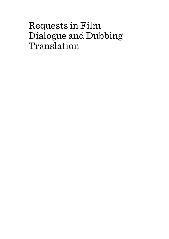# Requests in Film Dialogue and Dubbing Translation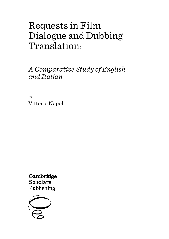# Requests in Film Dialogue and Dubbing Translation:

*A Comparative Study of English and Italian*

By Vittorio Napoli

Cambridge **Scholars** Publishing

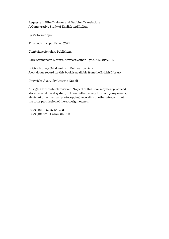Requests in Film Dialogue and Dubbing Translation: A Comparative Study of English and Italian

By Vittorio Napoli

This book first published 2021

Cambridge Scholars Publishing

Lady Stephenson Library, Newcastle upon Tyne, NE6 2PA, UK

British Library Cataloguing in Publication Data A catalogue record for this book is available from the British Library

Copyright © 2021 by Vittorio Napoli

All rights for this book reserved. No part of this book may be reproduced, stored in a retrieval system, or transmitted, in any form or by any means, electronic, mechanical, photocopying, recording or otherwise, without the prior permission of the copyright owner.

ISBN (10): 1-5275-6405-3 ISBN (13): 978-1-5275-6405-3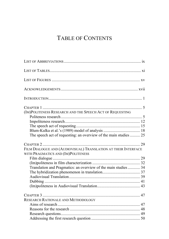## TABLE OF CONTENTS

| (IM)POLITENESS RESEARCH AND THE SPEECH ACT OF REQUESTING                                             |  |
|------------------------------------------------------------------------------------------------------|--|
|                                                                                                      |  |
|                                                                                                      |  |
|                                                                                                      |  |
| The speech act of requesting: an overview of the main studies  25                                    |  |
| FILM DIALOGUE AND (AUDIOVISUAL) TRANSLATION AT THEIR INTERFACE<br>WITH PRAGMATICS AND (IM)POLITENESS |  |
|                                                                                                      |  |
|                                                                                                      |  |
| Translation and Pragmatics: an overview of the main studies  34                                      |  |
|                                                                                                      |  |
|                                                                                                      |  |
|                                                                                                      |  |
|                                                                                                      |  |
| RESEARCH RATIONALE AND METHODOLOGY                                                                   |  |
|                                                                                                      |  |
|                                                                                                      |  |
|                                                                                                      |  |
|                                                                                                      |  |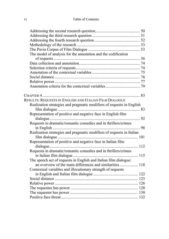| The model of analysis for the annotation and the codification         |  |
|-----------------------------------------------------------------------|--|
|                                                                       |  |
|                                                                       |  |
|                                                                       |  |
|                                                                       |  |
|                                                                       |  |
|                                                                       |  |
|                                                                       |  |
|                                                                       |  |
|                                                                       |  |
| RESULTS: REQUESTS IN ENGLISH AND ITALIAN FILM DIALOGUE                |  |
| Realization strategies and pragmatic modifiers of requests in English |  |
|                                                                       |  |
| Representation of positive and negative face in English film          |  |
|                                                                       |  |
| Requests in dramatic/romantic comedies and in thrillers/crimes        |  |
|                                                                       |  |
| Realization strategies and pragmatic modifiers of requests in Italian |  |
|                                                                       |  |
| Representation of positive and negative face in Italian film          |  |
|                                                                       |  |
| Requests in dramatic/romantic comedies and in thrillers/crimes        |  |
|                                                                       |  |
| The speech act of requests in English and Italian film dialogue:      |  |
| an overview of the main differences and similarities 118              |  |
| Contextual variables and illocutionary strength of requests           |  |
|                                                                       |  |
|                                                                       |  |
|                                                                       |  |
|                                                                       |  |
|                                                                       |  |
|                                                                       |  |
|                                                                       |  |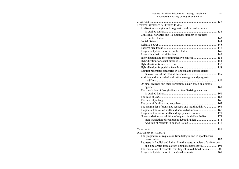| Requests in Film Dialogue and Dubbing Translation:<br>A Comparative Study of English and Italian | vii |
|--------------------------------------------------------------------------------------------------|-----|
|                                                                                                  |     |
| RESULTS: REQUESTS IN DUBBED ITALIAN                                                              |     |
| Realization strategies and pragmatic modifiers of requests                                       |     |
|                                                                                                  |     |
| Contextual variables and illocutionary strength of requests                                      |     |
|                                                                                                  |     |
|                                                                                                  |     |
|                                                                                                  |     |
|                                                                                                  |     |
|                                                                                                  |     |
|                                                                                                  |     |
|                                                                                                  |     |
|                                                                                                  |     |
|                                                                                                  |     |
|                                                                                                  |     |
| Request pragmatic categories in English and dubbed Italian:                                      |     |
|                                                                                                  |     |
| Addition and removal of realization strategies and pragmatic                                     |     |
|                                                                                                  |     |
| Original requests and their translation: a pair-based qualitative                                |     |
|                                                                                                  |     |
| The translation of just, fucking and familiarizing vocatives                                     |     |
|                                                                                                  |     |
|                                                                                                  |     |
|                                                                                                  |     |
|                                                                                                  |     |
| The pragmatics of translated requests and multimodality 168                                      |     |
| Pragmatic translation shifts and non-verbal modes 168                                            |     |
| Pragmatic translation shifts and lip-sync constraints  171                                       |     |
| Non-translation and addition of requests in dubbed Italian  174                                  |     |
| Non-translation of requests in dubbed Italian 174                                                |     |
|                                                                                                  |     |
|                                                                                                  |     |
| <b>DISCUSSION OF RESULTS</b>                                                                     |     |
| The pragmatics of requests in film dialogue and in spontaneous                                   |     |
|                                                                                                  |     |
| Requests in English and Italian film dialogue: a review of differences                           |     |
| and similarities from a cross-linguistic perspective 191                                         |     |
| The translation of requests from English into dubbed Italian  200                                |     |
|                                                                                                  |     |
|                                                                                                  |     |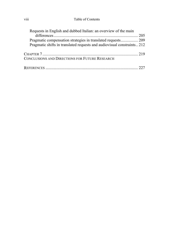### viii Table of Contents

| Requests in English and dubbed Italian: an overview of the main         |  |
|-------------------------------------------------------------------------|--|
|                                                                         |  |
| Pragmatic compensation strategies in translated requests 209            |  |
| Pragmatic shifts in translated requests and audiovisual constraints 212 |  |
|                                                                         |  |
| CONCLUSIONS AND DIRECTIONS FOR FUTURE RESEARCH                          |  |
|                                                                         |  |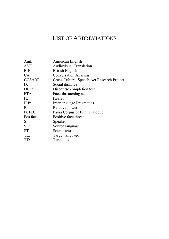## LIST OF ABBREVIATIONS

| AmE:           | American English                           |
|----------------|--------------------------------------------|
| AVT:           | Audiovisual Translation                    |
| BrE:           | <b>British English</b>                     |
| CA:            | <b>Conversation Analysis</b>               |
| <b>CCSARP:</b> | Cross-Cultural Speech Act Research Project |
| D:             | Social distance                            |
| DCT:           | Discourse completion test                  |
| FTA:           | Face-threatening act                       |
| H:             | Hearer                                     |
| ILP:           | Interlanguage Pragmatics                   |
| P:             | Relative power                             |
| PCFD:          | Pavia Corpus of Film Dialogue              |
| Pos face:      | Positive face threat                       |
| S:             | Speaker                                    |
| SL:            | Source language                            |
| ST:            | Source text                                |
| TL:            | Target language                            |
| TT:            | Target text                                |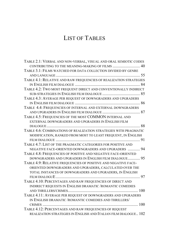## LIST OF TABLES

| TABLE 2.1: VERBAL AND NON-VERBAL, VISUAL AND ORAL SEMIOTIC CODES  |
|-------------------------------------------------------------------|
| CONTRIBUTING TO THE MEANING-MAKING OF FILMS  40                   |
| TABLE 3.1: FILMS WATCHED FOR DATA COLLECTION DIVIDED BY GENRE     |
|                                                                   |
| TABLE 4.1: RELATIVE AND RAW FREQUENCIES OF REALIZATION STRATEGIES |
|                                                                   |
| TABLE 4.2: TWO MOST FREQUENT DIRECT AND CONVENTIONALLY INDIRECT   |
|                                                                   |
| TABLE 4.3: AVERAGE PER REQUEST OF DOWNGRADERS AND UPGRADERS       |
|                                                                   |
| TABLE 4.4: FREQUENCIES OF INTERNAL AND EXTERNAL DOWNGRADERS       |
|                                                                   |
| TABLE 4.5: FREQUENCIES OF THE MOST COMMON INTERNAL AND            |
| EXTERNAL DOWNGRADERS AND UPGRADERS IN ENGLISH FILM                |
|                                                                   |
| TABLE 4.6: COMBINATIONS OF REALIZATION STRATEGIES WITH PRAGMATIC  |
| MODIFICATION, RANKED FROM MOST TO LEAST FREQUENT, IN ENGLISH      |
|                                                                   |
| TABLE 4.7: LIST OF THE PRAGMATIC CATEGORIES FOR POSITIVE AND      |
| NEGATIVE FACE-ORIENTED DOWNGRADERS AND UPGRADERS  94              |
| TABLE 4.8: FREQUENCIES OF POSITIVE AND NEGATIVE FACE-ORIENTED     |
| DOWNGRADERS AND UPGRADERS IN ENGLISH FILM DIALOGUE 95             |
| TABLE 4.9: RELATIVE FREQUENCIES OF POSITIVE AND NEGATIVE FACE-    |
| ORIENTED DOWNGRADERS AND UPGRADERS, CALCULATED OVER THE           |
| TOTAL INSTANCES OF DOWNGRADERS AND UPGRADERS, IN ENGLISH          |
|                                                                   |
| TABLE 4.10: PERCENTAGES AND RAW FREQUENCIES OF DIRECT AND         |
| INDIRECT REQUESTS IN ENGLISH DRAMATIC /ROMANTIC COMEDIES          |
|                                                                   |
| TABLE 4.11: AVERAGE PER REQUEST OF DOWNGRADERS AND UPGRADERS      |
| IN ENGLISH DRAMATIC / ROMANTIC COMEDIES AND THRILLERS/            |
|                                                                   |
| TABLE 4.12: PERCENTAGES AND RAW FREQUENCIES OF REQUEST            |
| REALIZATION STRATEGIES IN ENGLISH AND ITALIAN FILM DIALOGUE 102   |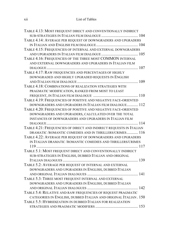| TABLE 4.13: MOST FREQUENT DIRECT AND CONVENTIONALLY INDIRECT       |
|--------------------------------------------------------------------|
|                                                                    |
| TABLE 4.14: AVERAGE PER REQUEST OF DOWNGRADERS AND UPGRADERS       |
|                                                                    |
| TABLE 4.15: FREQUENCIES OF INTERNAL AND EXTERNAL DOWNGRADERS       |
|                                                                    |
| TABLE 4.16: FREQUENCIES OF THE THREE MOST COMMON INTERNAL          |
| AND EXTERNAL DOWNGRADERS AND UPGRADERS IN ITALIAN FILM             |
|                                                                    |
| TABLE 4.17: RAW FREQUENCIES AND PERCENTAGES OF HIGHLY              |
| DOWNGRADED AND HIGHLY UPGRADED REQUESTS IN ENGLISH                 |
|                                                                    |
| TABLE 4.18: COMBINATIONS OF REALIZATION STRATEGIES WITH            |
| PRAGMATIC MODIFICATION, RANKED FROM MOST TO LEAST                  |
|                                                                    |
| TABLE 4.19: FREQUENCIES OF POSITIVE AND NEGATIVE FACE-ORIENTED     |
| DOWNGRADERS AND UPGRADERS IN ITALIAN FILM DIALOGUE 112             |
| TABLE 4.20: FREQUENCIES OF POSITIVE AND NEGATIVE FACE-ORIENTED     |
| DOWNGRADERS AND UPGRADERS, CALCULATED OVER THE TOTAL               |
| INSTANCES OF DOWNGRADERS AND UPGRADERS IN ITALIAN FILM             |
|                                                                    |
| TABLE 4.21: FREQUENCIES OF DIRECT AND INDIRECT REQUESTS IN ITALIAN |
| DRAMATIC / ROMANTIC COMEDIES AND IN THRILLERS/CRIMES 116           |
| TABLE 4.22: AVERAGE PER REQUEST OF DOWNGRADERS AND UPGRADERS       |
| IN ITALIAN DRAMATIC / ROMANTIC COMEDIES AND THRILLERS/CRIMES       |
|                                                                    |
| TABLE 5.1: MOST FREQUENT DIRECT AND CONVENTIONALLY INDIRECT        |
| SUB-STRATEGIES IN ENGLISH, DUBBED ITALIAN AND ORIGINAL             |
|                                                                    |
| TABLE 5.2: AVERAGE PER REQUEST OF INTERNAL AND EXTERNAL            |
| DOWNGRADERS AND UPGRADERS IN ENGLISH, DUBBED ITALIAN               |
|                                                                    |
| TABLE 5.3: THREE MOST FREQUENT INTERNAL AND EXTERNAL               |
| DOWNGRADERS AND UPGRADERS IN ENGLISH, DUBBED ITALIAN               |
|                                                                    |
| TABLE 5.4: RELATIVE AND RAW FREQUENCIES OF REQUEST PRAGMATIC       |
| CATEGORIES IN ENGLISH, DUBBED ITALIAN AND ORIGINAL ITALIAN. 150    |
| TABLE 5.5: HYBRIDIZATION IN DUBBED ITALIAN FOR REALIZATION         |
|                                                                    |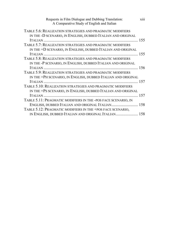| Requests in Film Dialogue and Dubbing Translation:<br>A Comparative Study of English and Italian | <b>X111</b> |
|--------------------------------------------------------------------------------------------------|-------------|
| TABLE 5.6: REALIZATION STRATEGIES AND PRAGMATIC MODIFIERS                                        |             |
| IN THE -D SCENARIO, IN ENGLISH, DUBBED ITALIAN AND ORIGINAL                                      |             |
|                                                                                                  |             |
| TABLE 5.7: REALIZATION STRATEGIES AND PRAGMATIC MODIFIERS                                        |             |
| IN THE +D SCENARIO, IN ENGLISH, DUBBED ITALIAN AND ORIGINAL                                      |             |
|                                                                                                  |             |
| TABLE 5.8: REALIZATION STRATEGIES AND PRAGMATIC MODIFIERS                                        |             |
| IN THE -P SCENARIO, IN ENGLISH, DUBBED ITALIAN AND ORIGINAL                                      |             |
|                                                                                                  |             |
| TABLE 5.9: REALIZATION STRATEGIES AND PRAGMATIC MODIFIERS                                        |             |
| IN THE +PH SCENARIO, IN ENGLISH, DUBBED ITALIAN AND ORIGINAL                                     |             |
|                                                                                                  |             |
| TABLE 5.10: REALIZATION STRATEGIES AND PRAGMATIC MODIFIERS                                       |             |
| IN THE +PS SCENARIO, IN ENGLISH, DUBBED ITALIAN AND ORIGINAL                                     |             |
|                                                                                                  |             |
| TABLE 5.11: PRAGMATIC MODIFIERS IN THE -POS FACE SCENARIO, IN                                    |             |
| ENGLISH, DUBBED ITALIAN AND ORIGINAL ITALIAN 158                                                 |             |
| TABLE 5.12: PRAGMATIC MODIFIERS IN THE +POS FACE SCENARIO,                                       |             |
| IN ENGLISH, DUBBED ITALIAN AND ORIGINAL ITALIAN 158                                              |             |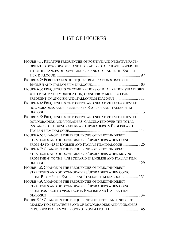## LIST OF FIGURES

| FIGURE 4.1: RELATIVE FREQUENCIES OF POSITIVE AND NEGATIVE FACE-   |
|-------------------------------------------------------------------|
| ORIENTED DOWNGRADERS AND UPGRADERS, CALCULATED OVER THE           |
| TOTAL INSTANCES OF DOWNGRADERS AND UPGRADERS IN ENGLISH           |
|                                                                   |
| FIGURE 4.2: PERCENTAGES OF REQUEST REALIZATION STRATEGIES IN      |
|                                                                   |
| FIGURE 4.3: FREQUENCIES OF COMBINATIONS OF REALIZATION STRATEGIES |
| WITH PRAGMATIC MODIFICATION, GOING FROM MOST TO LEAST             |
| FREQUENT, IN ENGLISH AND ITALIAN FILM DIALOGUE  111               |
| FIGURE 4.4: FREQUENCIES OF POSITIVE AND NEGATIVE FACE-ORIENTED    |
| DOWNGRADERS AND UPGRADERS IN ENGLISH AND ITALIAN FILM             |
|                                                                   |
| FIGURE 4.5: FREQUENCIES OF POSITIVE AND NEGATIVE FACE-ORIENTED    |
| DOWNGRADERS AND UPGRADERS, CALCULATED OVER THE TOTAL              |
| <b>INSTANCES OF DOWNGRADERS AND UPGRADERS IN ENGLISH AND</b>      |
|                                                                   |
| FIGURE 4.6: CHANGE IN THE FREQUENCIES OF DIRECT/INDIRECT          |
| STRATEGIES AND OF DOWNGRADERS/UPGRADERS WHEN GOING                |
| FROM -D TO +D IN ENGLISH AND ITALIAN FILM DIALOGUE  125           |
| FIGURE 4.7: CHANGE IN THE FREQUENCIES OF DIRECT/INDIRECT          |
| STRATEGIES AND OF DOWNGRADERS/UPGRADERS WHEN MOVING               |
| FROM THE -P TO THE +PH SCENARIO IN ENGLISH AND ITALIAN FILM       |
|                                                                   |
| FIGURE 4.8: CHANGE IN THE FREQUENCIES OF DIRECT/INDIRECT          |
| STRATEGIES AND OF DOWNGRADERS/UPGRADERS WHEN GOING                |
| FROM -P TO +PS, IN ENGLISH AND ITALIAN FILM DIALOGUE 131          |
| FIGURE 4.9: CHANGE IN THE FREQUENCIES OF DIRECT/INDIRECT          |
| STRATEGIES AND OF DOWNGRADERS/UPGRADERS WHEN GOING                |
| FROM -POS FACE TO +POS FACE IN ENGLISH AND ITALIAN FILM           |
|                                                                   |
| FIGURE 5.1: CHANGE IN THE FREQUENCIES OF DIRECT AND INDIRECT      |
| REALIZATION STRATEGIES AND OF DOWNGRADERS AND UPGRADERS           |
| IN DUBBED ITALIAN WHEN GOING FROM -D TO +D  145                   |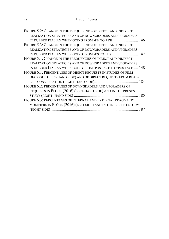| FIGURE 5.2: CHANGE IN THE FREQUENCIES OF DIRECT AND INDIRECT   |
|----------------------------------------------------------------|
| REALIZATION STRATEGIES AND OF DOWNGRADERS AND UPGRADERS        |
|                                                                |
| FIGURE 5.3: CHANGE IN THE FREQUENCIES OF DIRECT AND INDIRECT   |
| <b>REALIZATION STRATEGIES AND OF DOWNGRADERS AND UPGRADERS</b> |
|                                                                |
| FIGURE 5.4: CHANGE IN THE FREQUENCIES OF DIRECT AND INDIRECT   |
| REALIZATION STRATEGIES AND OF DOWNGRADERS AND UPGRADERS        |
| IN DUBBED ITALIAN WHEN GOING FROM -POS FACE TO +POS FACE  148  |
| FIGURE 6.1: PERCENTAGES OF DIRECT REQUESTS IN STUDIES OF FILM  |
| DIALOGUE (LEFT-HAND SIDE) AND OF DIRECT REQUESTS FROM REAL-    |
|                                                                |
| FIGURE 6.2: PERCENTAGES OF DOWNGRADERS AND UPGRADERS OF        |
| REQUESTS IN FLOCK (2016) (LEFT-HAND SIDE) AND IN THE PRESENT   |
|                                                                |
| FIGURE 6.3: PERCENTAGES OF INTERNAL AND EXTERNAL PRAGMATIC     |
| MODIFIERS IN FLÖCK (2016) (LEFT SIDE) AND IN THE PRESENT STUDY |
|                                                                |
|                                                                |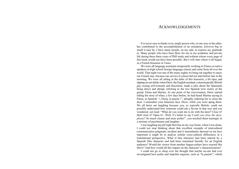### ACKNOWLEDGEMENTS

It is never easy to thank every single person who, in one way or the other, has contributed to the accomplishment of an enterprise, however big or small it may be. I have many people, on my side, to express my gratitude to. Many people who have been there for me in my academic and private life during these three years of PhD study and without whom every page of this book would not have been possible. But I will start where it all began, in a French brasserie in Tours.

We were all language assistants temporarily working in France as native speakers in high school foreign language classes and came from all over the world. That night was one of the many nights we hung out together to enjoy our French stay, because our service at school did not start before late in the morning. We were all sitting at the table of this brasserie, a bit tipsy and sipping on our drinks when Drew, the English assistant, a stereotypically British guy oozing self-restraint and discretion, made a joke about the Spaniards being direct and abrupt, referring to the two Spanish twin sisters of the group: Elena and Marina. At one point of the conversation, Drew started telling the story of when, a few days before, he had heard Marina saying to Elena, in Spanish: "¡ Elena, la puerta !", abruptly ordering her to close the door. I remember your hilarious face, Drew, while you were aping them. We all burst out laughing because you, so typically British, could not possibly understand how someone could ask a favour in that way and you wondered, out loud: "What do you want me to do with the door? Close it? Half close it? Open it?...Well, it's better to say *Could you close the door, please*? So much clearer and more polite!", you mocked them teasingly in a mixture of puzzlement and laughter.

I was laughing myself right then but on my way home, when I was alone, I could not stop thinking about that excellent example of intercultural communication pragmatic incident and it immediately dawned on me how important it might be to analyse similar cross-cultural differences in a translational perspective. What if that utterance had been uttered by a Spanish film character and had been translated literally for an English audience? Would the viewer from another lingua-culture have reacted like Drew? And how would all this impact on the character's characterization?

I could not go to sleep over the thought that maybe no-one had ever investigated how polite and impolite requests, such as "la puerta!", which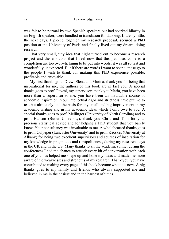was felt to be normal by two Spanish speakers but had sparked hilarity in an English speaker, were handled in translation for dubbing. Little by little, the next days, I pieced together my research proposal, secured a PhD position at the University of Pavia and finally lived out my dream: doing research.

That very small, tiny idea that night turned out to become a research project and the emotions that I feel now that this path has come to a completion are too overwhelming to be put into words: it was all so fast and wonderfully unexpected. But if there are words I want to spend, these go to the people I wish to thank for making this PhD experience possible, profitable and enjoyable.

My first thanks go to Drew, Elena and Marina: thank you for being that inspirational for me, the authors of this book are in fact you. A special thanks goes to prof. Pavesi, my supervisor: thank you Maria, you have been more than a supervisor to me, you have been an invaluable source of academic inspiration. Your intellectual rigor and strictness have put me to test but ultimately laid the basis for any small and big improvement in my academic writing and in my academic ideas which I only owe to you. A special thanks goes to prof. Mellinger (University of North Carolina) and to prof. Hanson (Butler University): thank you Chris and Tom for your precious statistical advice and for helping a PhD student that you barely knew. Your consultancy was invaluable to me. A wholehearted thanks goes to prof. Culpeper (Lancaster University) and to prof. Kecskes (University at Albany) for being two excellent supervisors and sources of inspiration for my knowledge in pragmatics and (im)politeness, during my research stays in the UK and in the US. Many thanks to all the academics I met during the conferences I had the chance to attend: every bit of conversation with each one of you has helped me shape up and hone my ideas and made me more aware of the weaknesses and strengths of my research. Thank you: you have contributed to making every page of this book become what it is now. A big thanks goes to my family and friends who always supported me and believed in me in the easiest and in the hardest of times.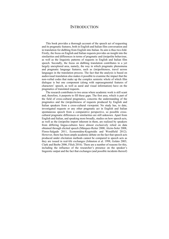### **INTRODUCTION**

This book provides a thorough account of the speech act of requesting and its pragmatic features, both in English and Italian film conversation and in translation for dubbing from English into Italian. Its aim is thus two-fold. Firstly, the focus on English and Italian requests provides an insight into the similarities and differences in terms of pragmatic and (im)polite behaviour, as well as the linguistic patterns of requests in English and Italian film speech. Secondly, the focus on dubbing translation contributes to a yet largely unexplored area, namely, the way in which pragmatic phenomena and pragmatic language features, such as (im)politeness, travel across languages in the translation process. The fact that the analysis is based on audiovisual translation also makes it possible to examine the impact that the non-verbal codes that make up the complex semiotic whole of which film dialogue is but one component (along with suprasegmental features of characters' speech, as well as aural and visual information) have on the pragmatics of translated requests.

The research contributes to two areas where academic work is still scant and, therefore, it purports to fill these gaps. The first area, which is part of the field of cross-cultural pragmatics, concerns the understanding of the pragmatics and the (im)politeness of requests produced by English and Italian speakers from a cross-cultural viewpoint. No study has, to date, investigated requests or any other pragmatic act in English and Italian spontaneous speech from a comparative perspective, so possible crosscultural pragmatic differences or similarities are still unknown. Apart from English and Italian, and speaking more broadly, studies on how speech acts, as well as the (im)polite import inherent in them, are realized by speakers from differing lingua-cultures have almost exclusively relied on data obtained through elicited speech (Márquez-Reiter 2000, Alcón-Soler 2008, Flores-Salgado 2011, Economidou-Kogetsidis and Woodfield 2012). However, there has been ample academic debate on the fact that speech acts produced under elicitation methods cannot be compared to speech acts as they are issued in real-life exchanges (Johnston et al. 1998, Golato 2003, Clark and Beebe 2006, Flöck 2016). There are a number of reasons for this, including the influence of the researcher's presence on the speaker's linguistic output and the fact that exchanges (and possible incidents thereof)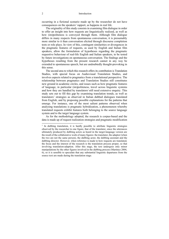occurring in a fictional scenario made up by the researcher do not have consequences on the speakers' rapport, as happens in real life.

The originality of this study consists in examining film dialogue in order to offer an insight into how requests are linguistically realized, as well as how (im)politeness is conveyed through them. Although film dialogue differs in many respects from spontaneous conversation, it is presumably more similar to it than conversation elicited through discourse completion tests or role plays. In view of this, contingent similarities or divergences in the pragmatic features of requests, as used by English and Italian film speakers, allow the formulation of hypotheses regarding the pragmatic requestive behaviour of real-life English and Italian speakers, to be tested by future investigations on spontaneous conversation. The findings and the hypotheses resulting from the present research cannot in any way be extended to spontaneous speech, but are undoubtedly thought-provoking in this sense.

The second area to which this research offers its contribution is Translation Studies, with special focus on Audiovisual Translation Studies, and involves aspects related to pragmatics from a translational perspective. The relationship between pragmatics and Translation Studies still constitutes new ground in academic circles, and issues such as how pragmatic features of language, in particular (im)politeness, travel across linguistic systems and how they are handled by translators<sup>1</sup> still need extensive enquiry. This study sets out to fill this gap by examining translation trends, as well as translators' strategies as observed in Italian dubbed dialogues translated from English, and by proposing possible explanations for the patterns that emerge. For instance, one of the most salient patterns observed when analysing translations is pragmatic hybridization, a phenomenon whereby translated requests exhibit features both belonging to the source language system and to the target language system.

As for the methodology adopted, the research is corpus-based and the data is made up of request realization strategies and pragmatic modification

<sup>&</sup>lt;sup>1</sup> In dubbing translation, it is hardly possible to attribute linguistic strategies observed by the researcher to one figure, that of the translator, since the utterances ultimately produced by dubbing actors as heard in the target-language version are the result of the collaborative work of many figures: the translator, the adaptor (when the two are not the same person), the dubbing actor, the dubbing assistant and the dubbing director. However, when reference is made to how requests are translated, the focus and the interest of the research is the translation process proper, so that involving translation-adaption. After this stage, the text undergoes only minor manipulations by the other figures involved in the dubbing process (Martínez 2004, 6), so it is sensible to speculate that any substantial linguistic departures from the source text are made during the translation stage.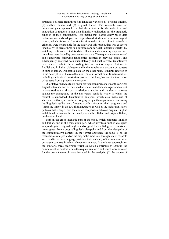#### Requests in Film Dialogue and Dubbing Translation: A Comparative Study of English and Italian

strategies collected from three film language varieties: (1) original English, (2) dubbed Italian and (3) original Italian. The research takes an onomasiological approach, in that the criterion for the collection and annotation of requests is not their linguistic realization but the pragmatic function of their components. This means that classic query-based data collection methods adopted in corpus-based studies of a semasiological nature, which follow a form-to-function rather than a function-to-form criterion, were not suitable for the study. For this reason, data was collected "manually" to create three sub-corpora (one for each language variety) by watching the films selected for data collection and annotating requests each time these were issued by on-screen characters. The requests were annotated and categorized following taxonomies adopted in previous studies and subsequently analysed both quantitatively and qualitatively. Quantitative data is used both in the cross-linguistic account of request features in English and in Italian dialogues and in the translational account of requests in dubbed Italian. Qualitative data, on the other hand, is mainly referred to in the description of the role that non-verbal information in film translation, including audiovisual constraints proper to dubbing, have on the translation of requests from a pragmatic viewpoint.

Qualitative analyses focus on single request pairs made up of the original English utterance and its translated utterance in dubbed dialogue and consist in case studies that discuss translation strategies and translators' choices against the background of the non-verbal semiotic whole in which the request is embedded. Quantitative analyses, which also make use of statistical methods, are useful in bringing to light the major trends concerning the linguistic realization of requests with a focus on their pragmatic and (im)polite import in the two film languages, as well as the major translation patterns that emerge from the double comparison between original English and dubbed Italian, on the one hand, and dubbed Italian and original Italian, on the other hand.

Both in the cross-linguistic part of the book, which compares English and Italian, and in the translation part, which involves dubbed dialogues analysed against original English and original Italian dialogues, requests are investigated from a pragmalinguistic viewpoint and from the viewpoint of the communicative context. In the former approach, the focus is on the realization strategies and on the pragmatic modifiers through which requests are issued in the three language varieties, independently of the communicative on-screen contexts in which characters interact. In the latter approach, on the contrary, three pragmatic variables which contribute to shaping the communicative context where the request is uttered and which were selected for the present research were included in the analysis: (1) the degree of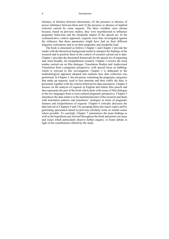#### 4 Introduction

intimacy or distance between interactants, (2) the presence or absence of power imbalance between them and (3) the presence or absence of implied criticism carried by some requests. The three variables were chosen because, based on previous studies, they were hypothesized to influence pragmatic behaviour and the (im)polite import of the speech act. In the communicative context approach, requests were thus investigated against the influence that these parameters might have had on their different linguistic realizations and so on their pragmatic and (im)polite load.

The book is structured as follows: Chapter 1 and Chapter 2 provide the reader with the theoretical background useful to interpret the findings of the research and to position them in the context of research carried out to date. Chapter 1 provides the theoretical framework for the speech act of requesting and, more broadly, for (im)politeness research. Chapter 2 reviews the main studies carried out on film dialogue, Translation Studies and Audiovisual Translation from a pragmatic perspective, with special focus on dubbing, which is relevant to this investigation. Chapter 3 is dedicated to the methodological approach adopted and explains how data collection was performed. In Chapter 3, the taxonomy containing the pragmatic categories that make up requests, used to first annotate and then codify the data, is presented, together with the criteria followed for data annotation. Chapter 4 focuses on the analysis of requests in English and Italian film speech and thus represents the part of the book which deals with issues of film dialogue in the two languages from a cross-cultural pragmatic perspective. Chapter 5 introduces the data relative to the translational part of the research and deals with translation patterns and translators' strategies in terms of pragmatic features and (im)politeness of requests. Chapter 6 critically discusses the data laid out in Chapters 4 and 5 by grouping them into macro topics and by generating speculation based on previous scholarly work on similar issues where possible. To conclude, Chapter 7 summarizes the main findings as well as the hypotheses put forward throughout the book and points out areas and issues which particularly deserve further enquiry, to foster debate in light of the contributions offered by the study.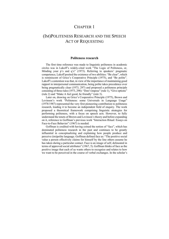### CHAPTER 1

## (IM)POLITENESS RESEARCH AND THE SPEECH ACT OF REQUESTING

#### **Politeness research**

The first time reference was made to linguistic politeness in academic circles was in Lakoff's widely-cited work "The Logic of Politeness, or, Minding your p's and q's" (1973). Referring to speakers' pragmatic competence, Lakoff posited the existence of two abilities: "Be clear", which is reminiscent of Grice's Cooperative Principle (1975), and "Be polite". Lakoff's contention was that, in view of the importance of maintaining good rapport in interpersonal communication, being polite takes precedence over being pragmatically clear (1973, 297) and proposed a politeness principle consisting of three rules (1973, 298): "Don't impose" (rule 1), "Give options" (rule 2) and "Make A feel good, be friendly" (rule 3).

Later on, drawing on Grice's Cooperative Principle (1975), Brown and Levinson's work "Politeness: some Universals in Language Usage" (1978/1987) represented the very first pioneering contribution to politeness research, leading it to become an independent field of enquiry. The work proposed a theoretical framework comprising linguistic strategies for performing politeness, with a focus on speech acts. However, to fully understand the tenets of Brown and Levinson's theory and before expanding on it, reference to Goffman's previous work "Interaction Ritual: Essays on Face-to-Face Behavior" (1967) is needed.

Goffman is credited with having coined the notion of "face", which has dominated politeness research in the past and continues to be greatly influential in conceptualizing and explaining how people produce and perceive (im)polite language. Goffman defined face as: "The positive social value a person effectively claims for himself by the line others assume he has taken during a particular contact. Face is an image of self, delineated in terms of approved social attributes" (1967, 5). Goffman thinks of face as the positive image that each of us wants others to recognize and relates to how we want to be perceived in the course of verbal exchanges. In the scholar's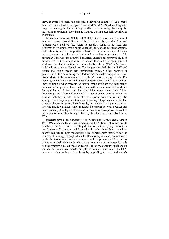view, to avoid or redress the sometimes inevitable damage to the hearer's face, interactants have to engage in "face-work" (1967, 12), which designates linguistic strategies for avoiding conflict and restoring harmony by redressing the potential face damage incurred during potentially conflictual exchanges.

Brown and Levinson (1978, 1987) elaborated on Goffman's notion of face and coined two different labels for it, namely, *positive face* and *negative face*. Positive face refers to people's desire to be liked and approved of by others, while negative face is the desire to act autonomously and be free from others' impositions. Positive face is defined as: "the want of every member that his wants be desirable to at least some others […] in particular, it includes the desire to be ratified, understood, approved of, liked or admired" (1987, 62) and negative face is "the want of every competent adult member that his actions be unimpeded by others" (1987, 62). Brown and Levinson drew on Speech Act Theory (Austin 1962, Searle 1969) and argued that some speech acts intrinsically threaten either negative or positive face, thus demeaning the interlocutor's desire to be appreciated and his/her desire to be autonomous from others' imposition respectively. For instance, requests and advice threaten the hearer's negative face, since they impinge upon his/her freedom of action, while criticism and reprimands threaten his/her positive face wants, because they undermine his/her desire for approbation. Brown and Levinson label these speech acts "facethreatening acts" (hereinafter FTAs). To avoid social conflict, which an FTA is likely to generate, the speaker can choose from a set of linguistic strategies for mitigating face threat and restoring interpersonal comity. The strategy chosen to redress face depends, in the scholars' opinion, on two sociopragmatic variables which regulate the rapport between speaker and hearer, namely, the degree of social distance and relative power, as well as the degree of imposition brought about by the object/action involved in the FTA.

Speakers have a set of linguistic "super-strategies" (Brown and Levinson 1987, 69) to choose from when mitigating an FTA: firstly, they can decide whether to perform it or not. If they decide to perform it, they can opt for the "off-record" strategy, which consists in only giving hints on which hearers can rely to infer the speaker's real illocutionary intent, or for the "on-record" strategy, through which the illocutionary intent is communicated explicitly. Going on-record can in turn entail the presence of face redress strategies or their absence, in which case no attempt at politeness is made and the strategy is called "bald on-record". If, on the contrary, speakers opt for face redress and so decide to mitigate the imposition inherent in the FTA, they can either mitigate face threat by appealing to the interlocutor's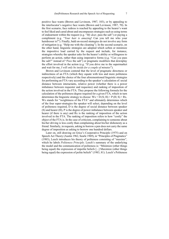positive face wants (Brown and Levinson, 1987, 103), or by appealing to the interlocutor's negative face wants (Brown and Levinson, 1987, 70). In the first scenario, face redress is reached by appealing to the hearer's want to feel liked and cared about and encompasses strategies such as using terms of endearment within the request (e.g. "*My dear*, pass the salt") or paying a compliment (e.g. "*Your hair is amazing*! Can you tell me who your hairdresser is?"). Finally, bald on-record strategies do not involve any form of mitigation (e.g. "Help me with the cleaning"). In the second scenario, on the other hand, linguistic strategies are adopted which soften or minimize the impositive load carried by the request and include, for instance, strategies whereby the speaker asks for the hearer's ability or willingness to perform an action, rather than using imperative forms (e.g. "*Can you* pass the salt?" instead of "*Pass* the salt") or pragmatic modifiers that downplay the effort involved in the action (e.g. "If you drive me to the supermarket and wait for me, *I will only be inside for a couple of minutes*").

Brown and Levinson contend that the level of pragmatic directness or indirectness of an FTA (which they equate with less and more politeness respectively) and the choice of the four aforementioned linguistic strategies for performing an FTA vary according to the speaker's calculation of: social distance between interactants, relative power (whether there is a power imbalance between requester and requestee) and ranking of imposition of the action involved in the FTA. They propose the following formula for the calculation of the politeness degree required for a given FTA, which in turn determines the linguistic strategy to choose:  $Wx = D(S; H) + P(H; S) + Rx$ . Wx stands for "weightiness of the FTA" and ultimately determines which of the four super-strategies the speaker will select, depending on the level of politeness required, D is the degree of social distance between speaker (S) and hearer (H), P is the degree of power imbalance between speaker and hearer (if there is any) and Rx is the ranking of imposition of the action involved in the FTA. The ranking of imposition refers to how "costly" the object of the FTA is. In the case of criticism, complaining to someone about his/her driving is less costly than complaining about his/her dishonesty as a friend. Similarly, in requests, asking to borrow a pen does not carry the same degree of imposition as asking to borrow one hundred dollars.

Later on, still drawing on Grice's Cooperative Principle (1975) and on Speech Act Theory (Austin 1962, Searle 1969), in "Principles of Pragmatics" (1983), Leech introduces his theory of politeness consisting of "maxims", which he labels *Politeness Principle*. Leech's summary of the underlying the model and the communication of politeness is: "Minimize (other things being equal) the expression of impolite beliefs [...] Maximize (other things being equal) the expression of polite beliefs" (1983, 81). Leech's Politeness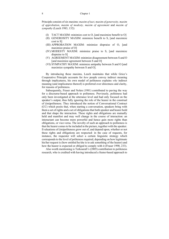Principle consists of six maxims: *maxim of tact, maxim of generosity, maxim of approbation, maxim of modesty, maxim of agreement* and *maxim of sympathy* (Leech 1983, 132):

- (I) TACT MAXIM: minimize cost to O, [and maximize benefit to O]
- (II) GENEROSITY MAXIM: minimize benefit to S, [and maximize cost to S]
- (III) APPROBATION MAXIM: minimize dispraise of O, [and maximize praise of O]
- (IV) MODESTY MAXIM: minimize praise to S, [and maximize dispraise to S]
- (V) AGREEMENT MAXIM: minimize disagreement between S and O [and maximize agreement between S and O]
- (VI) SYMPATHY MAXIM: minimize antipathy between S and O [and maximize sympathy between S and O].

By introducing these maxims, Leech maintains that while Grice's Cooperative Principle accounts for *how* people convey indirect meaning through implicatures, his own model of politeness explains *why* indirect meaning (and implicatures thereof) is preferred over directness and clarity, for reasons of politeness.

Subsequently, Fraser and Nolen (1981) contributed to paving the way for a discourse-based approach to politeness. Previously, politeness had only been investigated at the utterance level and had only focused on the speaker's output, thus fully ignoring the role of the hearer in the construal of (im)politeness. They introduced the notion of Conversational Contract (CC) which posits that, when starting a conversation, speakers bring with them a set of rights and a set of obligations that both speaker and hearer hold and that shape the interaction. These rights and obligations are mutually held and manifest and may well change in the course of interaction: an interactant can become more powerful and hence gain more rights than obligations, or vice-versa. The novelty of such an approach to politeness is that the hearer comes to be included in the picture, together with the speaker. Evaluations of (im)politeness grow out of, and depend upon, whether or not these rights and obligations are respected: in the case of requests, for instance, the requester will select a certain linguistic strategy which corresponds to the level of politeness required, depending on how legitimate his/her request is (how entitled he/she is to ask something of the hearer) and how the hearer is expected or obliged to comply with it (Fraser 1990, 233).

Also worth mentioning is Terkourafi's (2005) contribution to politeness research, who is credited with having introduced a frame-based approach to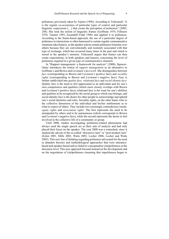politeness, previously taken by Aijmer (1996). According to Terkourafi, "it is the regular co-occurrence of particular types of context and particular linguistic expressions [...] that create the perception of politeness" (2005, 248). She took the notion of linguistic frames (Goffman 1974, Fillmore 1976, Tannen 1993, Escandell-Vidal 1996) and applied it to politeness. According to the frame-based approach, the use of a particular degree of politeness in interactions is often harnessed to certain regular communicative situations (aka frames), so the speaker selects certain politeness formulae over others because they are conventionally and routinely associated with that type of exchange, which has occurred many times in the past and which is stored in the speaker's memory. Terkourafi argues that frames can then create expectations, in both speakers and hearers, concerning the level of politeness required in a given type of communicative situation.

In "Rapport management: a framework for analysis" (2000), Spencer-Oatey introduces the notion of *rapport management* as an alternative to Goffman's and Brown and Levinson's *facework*. She distinguishes between *face* (corresponding to Brown and Levinson's positive face) and *sociality rights* (corresponding to Brown and Levinson's negative face). Face is further subdivided into *quality face, relational face* and *social identity face*. Quality face is the need to feel appreciated as an individual and for one's own competences and qualities (which more closely overlaps with Brown and Levinson's positive face), relational face is the want for one's abilities and qualities to be recognized by the social group to which one belongs, and social identity face is the desire for other people to acknowledge and uphold one's social identities and roles. Sociality rights, on the other hand, refer to the collective dimension of the individual and his/her entitlements as to what to expect of others. They include two (seemingly contradictory) needs: *equity rights* and *association rights*. The first represents the need to be unimpeded by others and to be autonomous (which corresponds to Brown and Levinson's negative face), while the second represents the desire to feel involved in the collective life of a community or group.

Until 2000, studies investigating politeness-related phenomena had always used the single speech act as their unit of analysis and had only placed their focus on the speaker. The year 2000 was a watershed, since it marked the advent of the so-called "discursive turn" or "post-modern turn" (Eelen 2001, Mills 2003, Watts 2003, Locher 2006, Locher and Watts 2005). This new line of thinking regarding politeness advocated for the need to abandon theories and methodological approaches that were utterancebased and speaker-based and so failed to conceptualize (im)politeness at the discourse level. This new approach focused instead on the development and on the negotiation of (im)politeness (meaning that impoliteness began to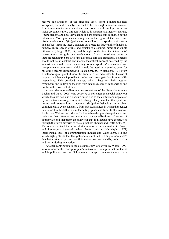receive due attention) at the discourse level. From a methodological viewpoint, the unit of analysis ceased to be the single utterance, isolated from its communicative context, and came to include the multiple turns that make up conversation, through which both speakers and hearers evaluate (im)politeness, and how they change and are continuously re-shaped during interaction. More prominence was given to the figure of the hearer and his/her evaluations of (im)politeness, as well as to the speaker's utterances and his/her (im)polite intent. Scholars advocated for larger units of analysis, namely, entire speech events and chunks of discourse, rather than single utterances (Haugh 2007, 14) and brought to the fore the interactants' conversational struggle over evaluations of what constitutes polite or impolite behaviour. Scholars of the discursive turn also argued that politeness should not be an abstract and merely theoretical concept designed by the analyst but should move according to real speakers' evaluations and metapragmatic comments, which should be used as a starting point for building a theoretical framework (Eelen 2001, 253; Watts 2003, 143). From a methodological point of view, the discursive turn advocated for the use of corpora, which made it possible to collect and investigate data from real-life interactions. This provided analysts with a base for their research hypotheses and to develop theories from genuine pieces of conversation and not from their own intuitions.

Among the most well-known representatives of the discursive turn are Locher and Watts (2008) who conceive of politeness as a social behaviour which does not occur in a vacuum but is tied to the context and negotiated by interactants, making it subject to change. They maintain that speakers' norms and expectations concerning (im)polite behaviour in a given communicative event can derive from past experiences in which the speaker has found him/herself in a similar setting, place and time. In this respect, Locher and Watts echo Terkourafi's frame-based approach to politeness and maintain that "frames are cognitive conceptualizations of forms of appropriate and inappropriate behaviour that individuals have constructed through their own histories of social practice" (Locher and Watts 2008, 78). The scholars coined the term *relational work*, as an alternative to Brown and Levinson's *facework*, which harks back to Halliday's (1973) interpersonal level of communication (Locher and Watts 2005, 11) and which highlights the fact that politeness is not tied to a single individual's face but is rather a dynamic and fluid notion co-constructed by both speaker and hearer during interaction.

Another contribution to the discursive turn was given by Watts (1992) who introduced the concept of *politic behaviour*. He argues that politeness and impoliteness are not dichotomous concepts, because there exists a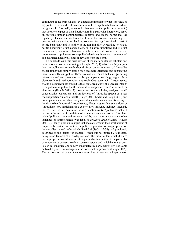continuum going from what is (evaluated as) impolite to what is (evaluated as) polite. In the middle of this continuum there is politic behaviour, which designates the "normal", unmarked behaviour (neither polite, nor impolite) that speakers expect of their interlocutors in a particular interaction, based on previous similar communicative contexts and on the norms that the regularity of such contexts has set with time. For instance, responding to a greeting with a greeting or thanking someone for a gift received is part of politic behaviour and is neither polite nor impolite. According to Watts, politic behaviour is not conspicuous, so it passes unnoticed and it is not remembered, whereas behaviour which is marked towards excessive impoliteness or politeness (over-polite behaviour), is noticed, remembered and evaluated negatively since it deviates from the norm.

To conclude with this brief review of the main politeness scholars and their theories, worth mentioning is Haugh  $(2013, 1)$  who forcefully argues that (im)politeness research should focus on *evaluations* of (im)polite speech rather than simply basing itself on single utterances and considering them inherently (im)polite. These evaluations cannot but emerge during interaction and are co-constructed by participants, so Haugh argues for a discourse-based methodological approach. One reason why (im)politeness should be studied in its context is that, quite frequently, the speaker intends to be polite or impolite, but the hearer does not perceive him/her as such, or vice versa (Haugh 2013, 2). According to the scholar, analysts should conceptualize evaluations and productions of (im)polite speech as a real "social practice" in and of itself (Haugh 2013, Kadar and Haugh 2013) and not as phenomena which are only constituents of conversation. Referring to the discursive feature of (im)politeness, Haugh argues that evaluations of (im)politeness by participants in a conversation influence their next linguistic moves, which in turn determine future evaluations of (im)politeness that will in turn influence the formulation of new utterances, and so on. This chain of (im)politeness evaluations generated by and in turn generating other instances of (im)politeness was labelled *reflexive (im)politeness* (Haugh 2013, 9). Haugh goes on to argue that speakers ground their evaluations of linguistic behaviour as polite or impolite, appropriate or inappropriate, on the so-called *moral order* which Garfinkel (1964, 35-36) had previously described as the "taken for granted", "seen but not noticed", "expected, background features of everyday scenes". The moral order, which dictates the appropriate social norms of a particular interaction in a particular communicative context, to which speakers appeal and which hearers expect, is also co-construed and jointly constructed by participants: it is not stable or fixed a priori, but changes as the conversation proceeds (Haugh 2015). The next section introduces the more recent line of research on impoliteness.